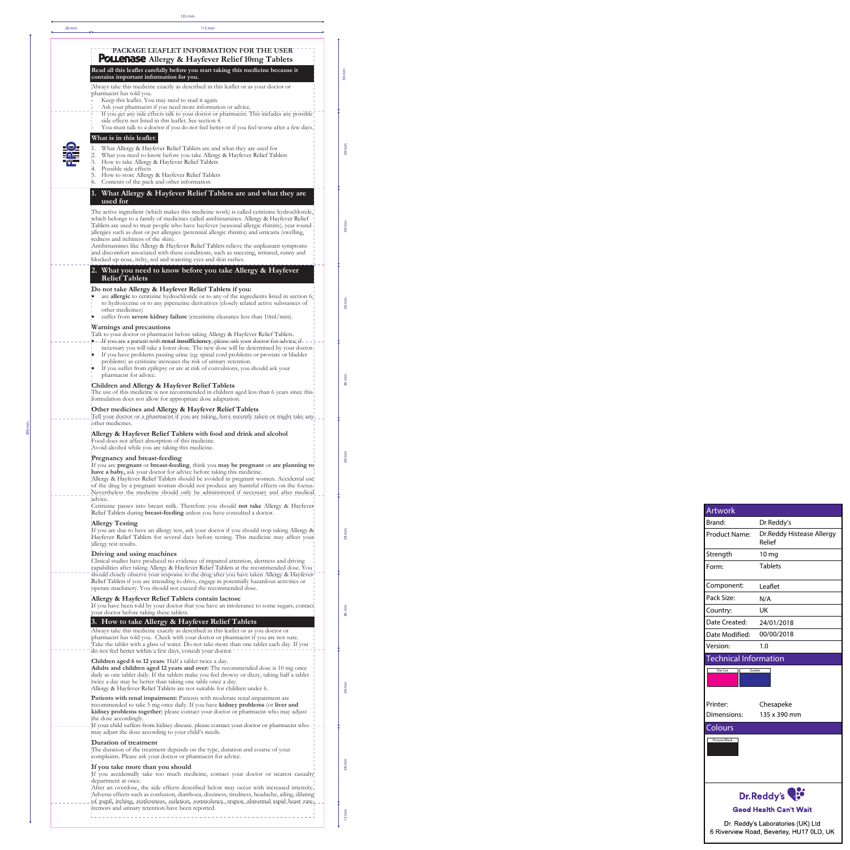If you accidentally take too much medicine, contact your doctor or nearest casualty department at once.

After an overdose, the side effects described below may occur with increased intensity. Adverse effects such as confusion, diarrhoea, dizziness, tiredness, headache, ailing, dilating of pupil, itching, restlessness, sedation, somnolence, stupor, abnormal rapid heart rate,

Always take this medicine exactly as described in this leaflet or as you doctor or pharmacist has told you. Check with your doctor or pharmacist if you are not sure.

Take the tablet with a glass of water. Do not take more than one tablet each day. If you do not feel better within a few days, consult your doctor.

**Children aged 6 to 12 years**: Half a tablet twice a day. **Adults and children aged 12 years and over:** The recommended dose is 10 mg once daily as one tablet daily. If the tablets make you feel drowsy or dizzy, taking half a tablet twice a day may be better than taking one table once a day. Allergy & Hayfever Relief Tablets are not suitable for children under 6.

| $20 \, \text{mm}$ | 115 mm                                                                                                                                                                                                                                                                                                                                                                                                                                                                                                                                                                                                                                                                              |  |
|-------------------|-------------------------------------------------------------------------------------------------------------------------------------------------------------------------------------------------------------------------------------------------------------------------------------------------------------------------------------------------------------------------------------------------------------------------------------------------------------------------------------------------------------------------------------------------------------------------------------------------------------------------------------------------------------------------------------|--|
|                   | PACKAGE LEAFLET INFORMATION FOR THE USER<br>POLLenase Allergy & Hayfever Relief 10mg Tablets<br>Read all this leaflet carefully before you start taking this medicine because it                                                                                                                                                                                                                                                                                                                                                                                                                                                                                                    |  |
|                   | contains important information for you.<br>Always take this medicine exactly as described in this leaflet or as your doctor or<br>pharmacist has told you.<br>Keep this leaflet. You may need to read it again.<br>Ask your pharmacist if you need more information or advice.<br>If you get any side effects talk to your doctor or pharmacist. This includes any possible                                                                                                                                                                                                                                                                                                         |  |
|                   | side effects not listed in this leaflet. See section 4.<br>You must talk to a doctor if you do not feel better or if you feel worse after a few days.<br>What is in this leaflet:<br>What Allergy & Hayfever Relief Tablets are and what they are used for<br>í1.<br>$\overline{2}$ .<br>What you need to know before you take Allergy & Hayfever Relief Tablets<br>3. How to take Allergy & Hayfever Relief Tablets<br>4. Possible side effects<br>How to store Allergy & Hayfever Relief Tablets<br>6. Contents of the pack and other information                                                                                                                                 |  |
|                   | 1. What Allergy & Hayfever Relief Tablets are and what they are<br>used for                                                                                                                                                                                                                                                                                                                                                                                                                                                                                                                                                                                                         |  |
|                   | The active ingredient (which makes this medicine work) is called cetirizine hydrochloride,<br>which belongs to a family of medicines called antihistamines. Allergy & Hayfever Relief<br>Tablets are used to treat people who have hayfever (seasonal allergic rhinitis), year round<br>allergies such as dust or pet allergies (perennial allergic rhinitis) and urticaria (swelling,<br>redness and itchiness of the skin).<br>Antihistamines like Allergy & Hayfever Relief Tablets relieve the unpleasant symptoms<br>and discomfort associated with these conditions, such as sneezing, irritated, runny and<br>blocked up nose, itchy, red and watering eyes and skin rashes. |  |
|                   | 2. What you need to know before you take Allergy & Hayfever<br><b>Relief Tablets</b>                                                                                                                                                                                                                                                                                                                                                                                                                                                                                                                                                                                                |  |
|                   | Do not take Allergy & Hayfever Relief Tablets if you:<br>are allergic to cetirizine hydrochloride or to any of the ingredients listed in section 6,<br>to hydroxyzine or to any piperazine derivatives (closely related active substances of<br>other medicines)<br>suffer from severe kidney failure (creatinine clearance less than $10ml/min$ ).                                                                                                                                                                                                                                                                                                                                 |  |
|                   | Warnings and precautions<br>Talk to your doctor or pharmacist before taking Allergy & Hayfever Relief Tablets.<br>-If you-are a patient-with-renal insufficiency, please-ask your doctor-for-advice; if- - -<br>necessary you will take a lower dose. The new dose will be determined by your doctor.<br>If you have problems passing urine (eg: spinal cord problems or prostate or bladder<br>problems) as cetinize increases the risk of urinary retention.<br>If you suffer from epilepsy or are at risk of convulsions, you should ask your<br>pharmacist for advice.                                                                                                          |  |
|                   | Children and Allergy & Hayfever Relief Tablets<br>The use of this medicine is not recommended in children aged less than 6 years since this<br>formulation does not allow for appropriate dose adaptation.                                                                                                                                                                                                                                                                                                                                                                                                                                                                          |  |
|                   | Other medicines and Allergy & Hayfever Relief Tablets<br>Tell your doctor or a pharmacist if you are taking, have recently taken or might take any<br>other medicines.                                                                                                                                                                                                                                                                                                                                                                                                                                                                                                              |  |
|                   | Allergy & Hayfever Relief Tablets with food and drink and alcohol<br>Food does not affect absorption of this medicine.<br>Avoid alcohol while you are taking this medicine.                                                                                                                                                                                                                                                                                                                                                                                                                                                                                                         |  |
|                   | Pregnancy and breast-feeding<br>If you are pregnant or breast-feeding, think you may be pregnant or are planning to<br>have a baby, ask your doctor for advice before taking this medicine.<br>Allergy & Hayfever Relief Tablets should be avoided in pregnant women. Accidental use<br>of the drug by a pregnant woman should not produce any harmful effects on the foetus.<br>Nevertheless the medicine should only be administered if necessary and after medical                                                                                                                                                                                                               |  |
|                   | advice.<br>Cetirizine passes into breast milk. Therefore you should not take Allergy & Hayfever<br>Relief Tablets during <b>breast-feeding</b> unless you have consulted a doctor.                                                                                                                                                                                                                                                                                                                                                                                                                                                                                                  |  |
|                   | <b>Allergy Testing</b><br>If you are due to have an allergy test, ask your doctor if you should stop taking Allergy &<br>Hayfever Relief Tablets for several days before testing. This medicine may affect your<br>allergy test results.                                                                                                                                                                                                                                                                                                                                                                                                                                            |  |
|                   | Driving and using machines<br>Clinical studies have produced no evidence of impaired attention, alertness and driving<br>capabilities after taking Allergy & Hayfever Relief Tablets at the recommended dose. You<br>should closely observe your response to the drug after you have taken Allergy & Hayfever<br>Relief Tablets if you are intending to drive, engage in potentially hazardous activities or<br>operate machinery. You should not exceed the recommended dose.                                                                                                                                                                                                      |  |
|                   | Allergy & Hayfever Relief Tablets contain lactose<br>If you have been told by your doctor that you have an intolerance to some sugars, contact<br>your doctor before taking these tablets.                                                                                                                                                                                                                                                                                                                                                                                                                                                                                          |  |
|                   | 3. How to take Allergy & Hayfever Relief Tablets                                                                                                                                                                                                                                                                                                                                                                                                                                                                                                                                                                                                                                    |  |

**Patients with renal impairment:** Patients with moderate renal impairment are recommended to take 5 mg once daily. If you have **kidney problems** (or **liver and kidney problems together**) please contact your doctor or pharmacist who may adjust the dose accordingly.

If your child suffers from kidney disease. please contact your doctor or pharmacist who may adjust the dose according to your child's needs.

## **Duration of treatment**

--------

The duration of the treatment depends on the type, duration and course of your complaints. Please ask your doctor or pharmacist for advice.

## **If you take more than you should**

tremors and urinary retention have been reported. 

135 mm

390 mm

36 mm

38 mm

38 mm

38 mm

38 mm

38 mm

38 mm

38 mm

38 mm

38 mm

12 mm



| <b>Artwork</b>                   |                                      |
|----------------------------------|--------------------------------------|
| Brand:                           | Dr Reddy's                           |
| <b>Product Name:</b>             | Dr. Reddy Histease Allergy<br>Relief |
| Strength                         | $10 \,\mathrm{mg}$                   |
| Form:                            | <b>Tablets</b>                       |
| Component:                       | Leaflet                              |
| Pack Size:                       | N/A                                  |
| Country:                         | UK                                   |
| Date Created:                    | 24/01/2018                           |
| $D = L \cdot M \cdot L! \cdot L$ | <u>00/00/2010</u>                    |